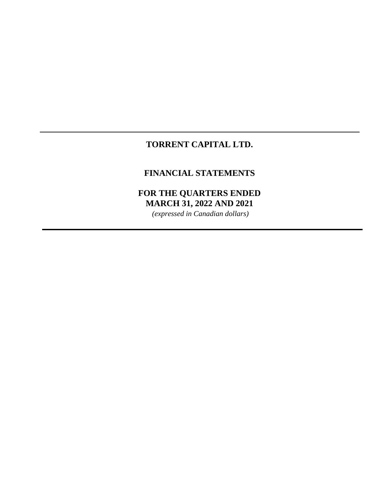# **TORRENT CAPITAL LTD.**

# **FINANCIAL STATEMENTS**

# **FOR THE QUARTERS ENDED MARCH 31, 2022 AND 2021**

*(expressed in Canadian dollars)*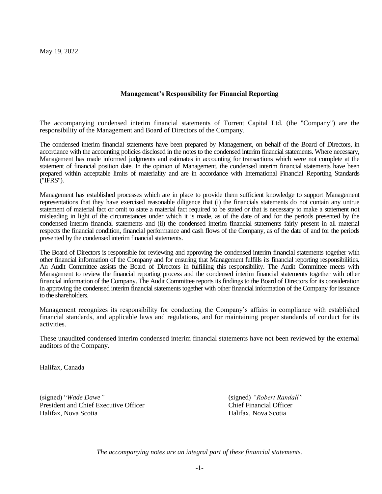May 19, 2022

#### **Management's Responsibility for Financial Reporting**

The accompanying condensed interim financial statements of Torrent Capital Ltd. (the "Company") are the responsibility of the Management and Board of Directors of the Company.

The condensed interim financial statements have been prepared by Management, on behalf of the Board of Directors, in accordance with the accounting policies disclosed in the notes to the condensed interim financial statements. Where necessary, Management has made informed judgments and estimates in accounting for transactions which were not complete at the statement of financial position date. In the opinion of Management, the condensed interim financial statements have been prepared within acceptable limits of materiality and are in accordance with International Financial Reporting Standards ("IFRS").

Management has established processes which are in place to provide them sufficient knowledge to support Management representations that they have exercised reasonable diligence that (i) the financials statements do not contain any untrue statement of material fact or omit to state a material fact required to be stated or that is necessary to make a statement not misleading in light of the circumstances under which it is made, as of the date of and for the periods presented by the condensed interim financial statements and (ii) the condensed interim financial statements fairly present in all material respects the financial condition, financial performance and cash flows of the Company, as of the date of and for the periods presented by the condensed interim financial statements.

The Board of Directors is responsible for reviewing and approving the condensed interim financial statements together with other financial information of the Company and for ensuring that Management fulfills its financial reporting responsibilities. An Audit Committee assists the Board of Directors in fulfilling this responsibility. The Audit Committee meets with Management to review the financial reporting process and the condensed interim financial statements together with other financial information of the Company. The Audit Committee reports its findings to the Board of Directors for its consideration in approving the condensed interim financial statements together with other financial information of the Company for issuance to the shareholders.

Management recognizes its responsibility for conducting the Company's affairs in compliance with established financial standards, and applicable laws and regulations, and for maintaining proper standards of conduct for its activities.

These unaudited condensed interim condensed interim financial statements have not been reviewed by the external auditors of the Company.

Halifax, Canada

(signed) "*Wade Dawe"* (signed) *"Robert Randall"* President and Chief Executive Officer Chief Financial Officer Chief Financial Officer Halifax, Nova Scotia Halifax, Nova Scotia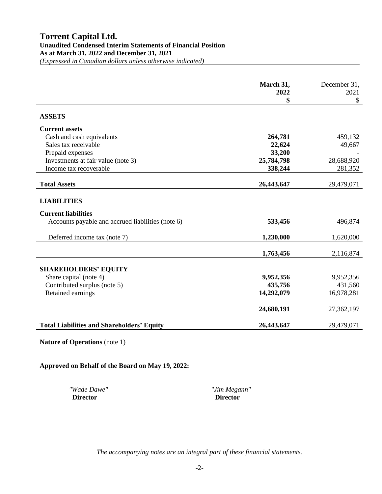|                                                   | March 31,<br>2022 | December 31,<br>2021 |
|---------------------------------------------------|-------------------|----------------------|
|                                                   | \$                | \$                   |
| <b>ASSETS</b>                                     |                   |                      |
| <b>Current assets</b>                             |                   |                      |
| Cash and cash equivalents                         | 264,781           | 459,132              |
| Sales tax receivable                              | 22,624            | 49,667               |
| Prepaid expenses                                  | 33,200            |                      |
| Investments at fair value (note 3)                | 25,784,798        | 28,688,920           |
| Income tax recoverable                            | 338,244           | 281,352              |
| <b>Total Assets</b>                               | 26,443,647        | 29,479,071           |
|                                                   |                   |                      |
| <b>LIABILITIES</b>                                |                   |                      |
| <b>Current liabilities</b>                        |                   |                      |
| Accounts payable and accrued liabilities (note 6) | 533,456           | 496,874              |
| Deferred income tax (note 7)                      | 1,230,000         | 1,620,000            |
|                                                   | 1,763,456         | 2,116,874            |
|                                                   |                   |                      |
| <b>SHAREHOLDERS' EQUITY</b>                       |                   |                      |
| Share capital (note 4)                            | 9,952,356         | 9,952,356            |
| Contributed surplus (note 5)                      | 435,756           | 431,560              |
| Retained earnings                                 | 14,292,079        | 16,978,281           |
|                                                   | 24,680,191        | 27,362,197           |
|                                                   |                   |                      |
| <b>Total Liabilities and Shareholders' Equity</b> | 26,443,647        | 29,479,071           |

**Nature of Operations** (note 1)

**Approved on Behalf of the Board on May 19, 2022:**

*"Wade Dawe"**"Jim Megann"* **Director Director**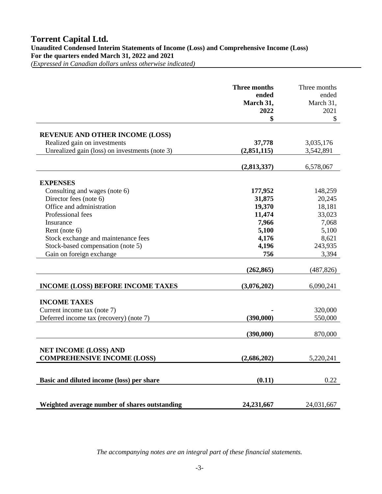*(Expressed in Canadian dollars unless otherwise indicated)* 

|                                                | <b>Three months</b><br>ended<br>March 31,<br>2022 | Three months<br>ended<br>March 31,<br>2021 |
|------------------------------------------------|---------------------------------------------------|--------------------------------------------|
|                                                | \$                                                | \$                                         |
|                                                |                                                   |                                            |
| <b>REVENUE AND OTHER INCOME (LOSS)</b>         |                                                   |                                            |
| Realized gain on investments                   | 37,778                                            | 3,035,176                                  |
| Unrealized gain (loss) on investments (note 3) | (2,851,115)                                       | 3,542,891                                  |
|                                                | (2,813,337)                                       | 6,578,067                                  |
| <b>EXPENSES</b>                                |                                                   |                                            |
| Consulting and wages (note 6)                  | 177,952                                           | 148,259                                    |
| Director fees (note 6)                         | 31,875                                            | 20,245                                     |
| Office and administration                      | 19,370                                            | 18,181                                     |
| Professional fees                              | 11,474                                            | 33,023                                     |
| Insurance                                      | 7,966                                             | 7,068                                      |
| Rent (note 6)                                  | 5,100                                             | 5,100                                      |
| Stock exchange and maintenance fees            | 4,176                                             | 8,621                                      |
| Stock-based compensation (note 5)              | 4,196                                             | 243,935                                    |
| Gain on foreign exchange                       | 756                                               | 3,394                                      |
|                                                | (262, 865)                                        | (487, 826)                                 |
| <b>INCOME (LOSS) BEFORE INCOME TAXES</b>       | (3,076,202)                                       | 6,090,241                                  |
| <b>INCOME TAXES</b>                            |                                                   |                                            |
| Current income tax (note 7)                    |                                                   | 320,000                                    |
| Deferred income tax (recovery) (note 7)        | (390,000)                                         | 550,000                                    |
|                                                |                                                   |                                            |
|                                                | (390,000)                                         | 870,000                                    |
| <b>NET INCOME (LOSS) AND</b>                   |                                                   |                                            |
| <b>COMPREHENSIVE INCOME (LOSS)</b>             | (2,686,202)                                       | 5,220,241                                  |
|                                                |                                                   |                                            |
| Basic and diluted income (loss) per share      | (0.11)                                            | 0.22                                       |
|                                                |                                                   |                                            |
| Weighted average number of shares outstanding  | 24,231,667                                        | 24,031,667                                 |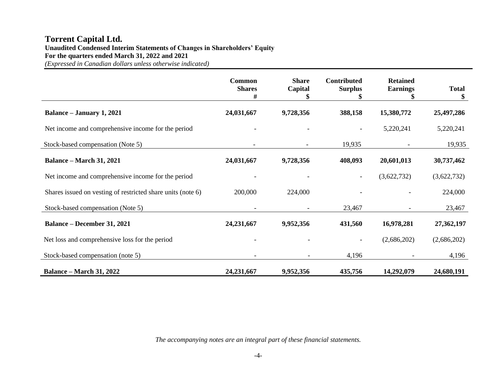# **Torrent Capital Ltd. Unaudited Condensed Interim Statements of Changes in Shareholders' Equity For the quarters ended March 31, 2022 and 2021**

*(Expressed in Canadian dollars unless otherwise indicated)*

|                                                             | <b>Common</b><br><b>Shares</b><br># | <b>Share</b><br>Capital  | <b>Contributed</b><br><b>Surplus</b><br>ъ | <b>Retained</b><br><b>Earnings</b> | <b>Total</b><br>\$ |
|-------------------------------------------------------------|-------------------------------------|--------------------------|-------------------------------------------|------------------------------------|--------------------|
| Balance – January 1, 2021                                   | 24,031,667                          | 9,728,356                | 388,158                                   | 15,380,772                         | 25,497,286         |
| Net income and comprehensive income for the period          |                                     |                          |                                           | 5,220,241                          | 5,220,241          |
| Stock-based compensation (Note 5)                           |                                     |                          | 19,935                                    |                                    | 19,935             |
| <b>Balance – March 31, 2021</b>                             | 24,031,667                          | 9,728,356                | 408,093                                   | 20,601,013                         | 30,737,462         |
| Net income and comprehensive income for the period          |                                     |                          | $\overline{\phantom{a}}$                  | (3,622,732)                        | (3,622,732)        |
| Shares issued on vesting of restricted share units (note 6) | 200,000                             | 224,000                  |                                           |                                    | 224,000            |
| Stock-based compensation (Note 5)                           |                                     |                          | 23,467                                    |                                    | 23,467             |
| <b>Balance – December 31, 2021</b>                          | 24, 231, 667                        | 9,952,356                | 431,560                                   | 16,978,281                         | 27,362,197         |
| Net loss and comprehensive loss for the period              |                                     |                          | $\overline{\phantom{a}}$                  | (2,686,202)                        | (2,686,202)        |
| Stock-based compensation (note 5)                           |                                     | $\overline{\phantom{a}}$ | 4,196                                     |                                    | 4,196              |
| <b>Balance – March 31, 2022</b>                             | 24,231,667                          | 9,952,356                | 435,756                                   | 14,292,079                         | 24,680,191         |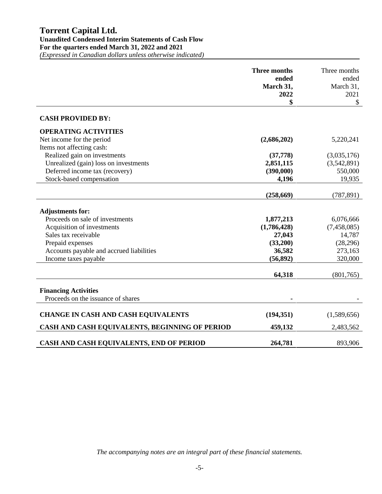|                                                | <b>Three months</b><br>ended | Three months<br>ended |
|------------------------------------------------|------------------------------|-----------------------|
|                                                | March 31,                    | March 31,             |
|                                                | 2022                         | 2021                  |
|                                                | \$                           | \$                    |
| <b>CASH PROVIDED BY:</b>                       |                              |                       |
| <b>OPERATING ACTIVITIES</b>                    |                              |                       |
| Net income for the period                      | (2,686,202)                  | 5,220,241             |
| Items not affecting cash:                      |                              |                       |
| Realized gain on investments                   | (37,778)                     | (3,035,176)           |
| Unrealized (gain) loss on investments          | 2,851,115                    | (3,542,891)           |
| Deferred income tax (recovery)                 | (390,000)                    | 550,000               |
| Stock-based compensation                       | 4,196                        | 19,935                |
|                                                |                              |                       |
|                                                | (258, 669)                   | (787, 891)            |
| <b>Adjustments for:</b>                        |                              |                       |
| Proceeds on sale of investments                | 1,877,213                    | 6,076,666             |
| Acquisition of investments                     | (1,786,428)                  | (7,458,085)           |
| Sales tax receivable                           | 27,043                       | 14,787                |
| Prepaid expenses                               | (33,200)                     | (28, 296)             |
| Accounts payable and accrued liabilities       | 36,582                       | 273,163               |
| Income taxes payable                           | (56, 892)                    | 320,000               |
|                                                | 64,318                       | (801,765)             |
|                                                |                              |                       |
| <b>Financing Activities</b>                    |                              |                       |
| Proceeds on the issuance of shares             |                              |                       |
|                                                |                              |                       |
| <b>CHANGE IN CASH AND CASH EQUIVALENTS</b>     | (194, 351)                   | (1,589,656)           |
| CASH AND CASH EQUIVALENTS, BEGINNING OF PERIOD | 459,132                      | 2,483,562             |
| CASH AND CASH EQUIVALENTS, END OF PERIOD       | 264,781                      | 893,906               |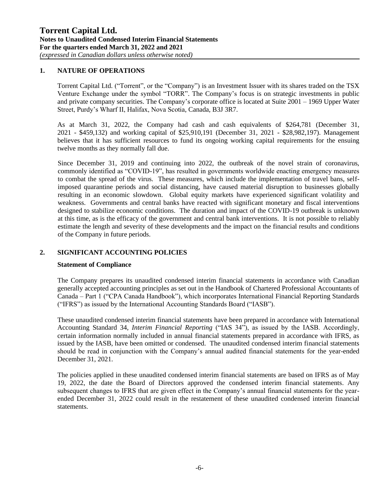#### **1. NATURE OF OPERATIONS**

Torrent Capital Ltd. ("Torrent", or the "Company") is an Investment Issuer with its shares traded on the TSX Venture Exchange under the symbol "TORR". The Company's focus is on strategic investments in public and private company securities. The Company's corporate office is located at Suite 2001 – 1969 Upper Water Street, Purdy's Wharf II, Halifax, Nova Scotia, Canada, B3J 3R7.

As at March 31, 2022, the Company had cash and cash equivalents of \$264,781 (December 31, 2021 - \$459,132) and working capital of \$25,910,191 (December 31, 2021 - \$28,982,197). Management believes that it has sufficient resources to fund its ongoing working capital requirements for the ensuing twelve months as they normally fall due.

Since December 31, 2019 and continuing into 2022, the outbreak of the novel strain of coronavirus, commonly identified as "COVID-19", has resulted in governments worldwide enacting emergency measures to combat the spread of the virus. These measures, which include the implementation of travel bans, selfimposed quarantine periods and social distancing, have caused material disruption to businesses globally resulting in an economic slowdown. Global equity markets have experienced significant volatility and weakness. Governments and central banks have reacted with significant monetary and fiscal interventions designed to stabilize economic conditions. The duration and impact of the COVID-19 outbreak is unknown at this time, as is the efficacy of the government and central bank interventions. It is not possible to reliably estimate the length and severity of these developments and the impact on the financial results and conditions of the Company in future periods.

# **2. SIGNIFICANT ACCOUNTING POLICIES**

#### **Statement of Compliance**

The Company prepares its unaudited condensed interim financial statements in accordance with Canadian generally accepted accounting principles as set out in the Handbook of Chartered Professional Accountants of Canada – Part 1 ("CPA Canada Handbook"), which incorporates International Financial Reporting Standards ("IFRS") as issued by the International Accounting Standards Board ("IASB").

These unaudited condensed interim financial statements have been prepared in accordance with International Accounting Standard 34, *Interim Financial Reporting* ("IAS 34"), as issued by the IASB. Accordingly, certain information normally included in annual financial statements prepared in accordance with IFRS, as issued by the IASB, have been omitted or condensed. The unaudited condensed interim financial statements should be read in conjunction with the Company's annual audited financial statements for the year-ended December 31, 2021.

The policies applied in these unaudited condensed interim financial statements are based on IFRS as of May 19, 2022, the date the Board of Directors approved the condensed interim financial statements. Any subsequent changes to IFRS that are given effect in the Company's annual financial statements for the yearended December 31, 2022 could result in the restatement of these unaudited condensed interim financial statements.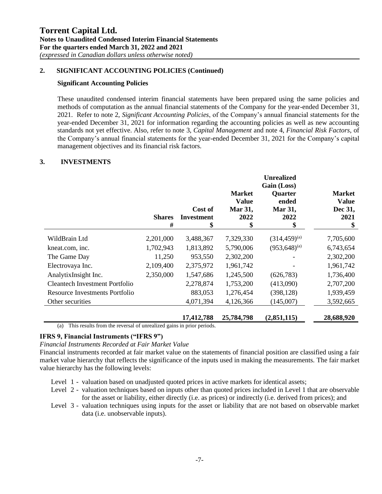### **2. SIGNIFICANT ACCOUNTING POLICIES (Continued)**

#### **Significant Accounting Policies**

These unaudited condensed interim financial statements have been prepared using the same policies and methods of computation as the annual financial statements of the Company for the year-ended December 31, 2021. Refer to note 2, *Significant Accounting Policies*, of the Company's annual financial statements for the year-ended December 31, 2021 for information regarding the accounting policies as well as new accounting standards not yet effective. Also, refer to note 3, *Capital Management* and note 4, *Financial Risk Factors*, of the Company's annual financial statements for the year-ended December 31, 2021 for the Company's capital management objectives and its financial risk factors.

#### **3. INVESTMENTS**

|                                | <b>Shares</b><br># | Cost of<br>Investment<br>\$ | <b>Market</b><br><b>Value</b><br>Mar 31,<br>2022<br>\$ | <b>Unrealized</b><br>Gain (Loss)<br><b>Quarter</b><br>ended<br>Mar 31,<br>2022<br>\$ | <b>Market</b><br><b>Value</b><br>Dec 31,<br>2021<br>\$ |
|--------------------------------|--------------------|-----------------------------|--------------------------------------------------------|--------------------------------------------------------------------------------------|--------------------------------------------------------|
| WildBrain Ltd                  | 2,201,000          | 3,488,367                   | 7,329,330                                              | $(314, 459)^{(a)}$                                                                   | 7,705,600                                              |
| kneat.com, inc.                | 1,702,943          | 1,813,892                   | 5,790,006                                              | $(953, 648)^{(a)}$                                                                   | 6,743,654                                              |
| The Game Day                   | 11,250             | 953,550                     | 2,302,200                                              |                                                                                      | 2,302,200                                              |
| Electrovaya Inc.               | 2,109,400          | 2,375,972                   | 1,961,742                                              |                                                                                      | 1,961,742                                              |
| AnalytixInsight Inc.           | 2,350,000          | 1,547,686                   | 1,245,500                                              | (626, 783)                                                                           | 1,736,400                                              |
| Cleantech Investment Portfolio |                    | 2,278,874                   | 1,753,200                                              | (413,090)                                                                            | 2,707,200                                              |
| Resource Investments Portfolio |                    | 883,053                     | 1,276,454                                              | (398, 128)                                                                           | 1,939,459                                              |
| Other securities               |                    | 4,071,394                   | 4,126,366                                              | (145,007)                                                                            | 3,592,665                                              |
|                                |                    | 17,412,788                  | 25,784,798                                             | (2,851,115)                                                                          | 28,688,920                                             |

(a) This results from the reversal of unrealized gains in prior periods.

# **IFRS 9, Financial Instruments ("IFRS 9")**

*Financial Instruments Recorded at Fair Market Value* 

Financial instruments recorded at fair market value on the statements of financial position are classified using a fair market value hierarchy that reflects the significance of the inputs used in making the measurements. The fair market value hierarchy has the following levels:

- Level 1 valuation based on unadjusted quoted prices in active markets for identical assets;
- Level 2 valuation techniques based on inputs other than quoted prices included in Level 1 that are observable for the asset or liability, either directly (i.e. as prices) or indirectly (i.e. derived from prices); and
- Level 3 valuation techniques using inputs for the asset or liability that are not based on observable market data (i.e. unobservable inputs).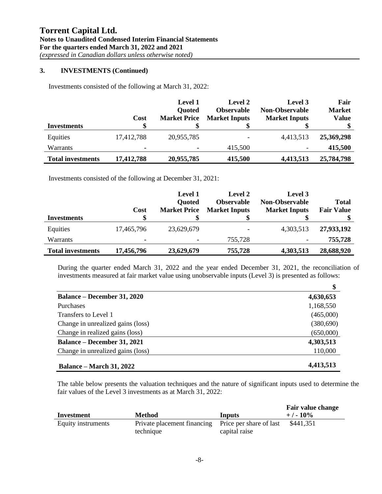#### **3. INVESTMENTS (Continued)**

Investments consisted of the following at March 31, 2022:

|                          | <b>Cost</b> | <b>Level 1</b><br><b>Quoted</b><br><b>Market Price</b> | Level 2<br><b>Observable</b><br><b>Market Inputs</b> | Level 3<br><b>Non-Observable</b><br><b>Market Inputs</b> | Fair<br><b>Market</b><br><b>Value</b> |
|--------------------------|-------------|--------------------------------------------------------|------------------------------------------------------|----------------------------------------------------------|---------------------------------------|
| Investments              | \$          |                                                        |                                                      |                                                          |                                       |
| Equities                 | 17,412,788  | 20,955,785                                             |                                                      | 4,413,513                                                | 25,369,298                            |
| Warrants                 | ۰           |                                                        | 415,500                                              | -                                                        | 415,500                               |
| <b>Total investments</b> | 17,412,788  | 20,955,785                                             | 415,500                                              | 4,413,513                                                | 25,784,798                            |

Investments consisted of the following at December 31, 2021:

| Investments              | Cost           | <b>Level 1</b><br><b>Quoted</b><br><b>Market Price</b> | Level 2<br><b>Observable</b><br><b>Market Inputs</b> | Level 3<br><b>Non-Observable</b><br><b>Market Inputs</b> | Total<br><b>Fair Value</b> |
|--------------------------|----------------|--------------------------------------------------------|------------------------------------------------------|----------------------------------------------------------|----------------------------|
| Equities                 | 17,465,796     | 23,629,679                                             |                                                      | 4,303,513                                                | 27,933,192                 |
| Warrants                 | $\blacksquare$ | ۰                                                      | 755,728                                              |                                                          | 755,728                    |
| <b>Total investments</b> | 17,456,796     | 23,629,679                                             | 755,728                                              | 4,303,513                                                | 28,688,920                 |

During the quarter ended March 31, 2022 and the year ended December 31, 2021, the reconciliation of investments measured at fair market value using unobservable inputs (Level 3) is presented as follows:

|                                    | \$        |
|------------------------------------|-----------|
| <b>Balance – December 31, 2020</b> | 4,630,653 |
| <b>Purchases</b>                   | 1,168,550 |
| Transfers to Level 1               | (465,000) |
| Change in unrealized gains (loss)  | (380,690) |
| Change in realized gains (loss)    | (650,000) |
| <b>Balance – December 31, 2021</b> | 4,303,513 |
| Change in unrealized gains (loss)  | 110,000   |
| <b>Balance – March 31, 2022</b>    | 4,413,513 |

The table below presents the valuation techniques and the nature of significant inputs used to determine the fair values of the Level 3 investments as at March 31, 2022:

| Investment         | Method                                              | Inputs        | Fair value change<br>$+/-10\%$ |
|--------------------|-----------------------------------------------------|---------------|--------------------------------|
| Equity instruments | Private placement financing Price per share of last |               | \$441,351                      |
|                    | technique                                           | capital raise |                                |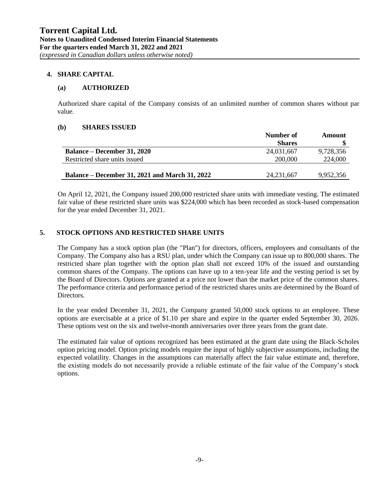#### **4. SHARE CAPITAL**

#### **(a) AUTHORIZED**

Authorized share capital of the Company consists of an unlimited number of common shares without par value.

#### **(b) SHARES ISSUED**

|                                                       | Number of     | Amount    |
|-------------------------------------------------------|---------------|-----------|
|                                                       | <b>Shares</b> |           |
| <b>Balance – December 31, 2020</b>                    | 24,031,667    | 9,728,356 |
| Restricted share units issued                         | 200,000       | 224,000   |
|                                                       |               |           |
| <b>Balance – December 31, 2021 and March 31, 2022</b> | 24, 231, 667  | 9.952.356 |

On April 12, 2021, the Company issued 200,000 restricted share units with immediate vesting. The estimated fair value of these restricted share units was \$224,000 which has been recorded as stock-based compensation for the year ended December 31, 2021.

#### **5. STOCK OPTIONS AND RESTRICTED SHARE UNITS**

The Company has a stock option plan (the "Plan") for directors, officers, employees and consultants of the Company. The Company also has a RSU plan, under which the Company can issue up to 800,000 shares. The restricted share plan together with the option plan shall not exceed 10% of the issued and outstanding common shares of the Company. The options can have up to a ten-year life and the vesting period is set by the Board of Directors. Options are granted at a price not lower than the market price of the common shares. The performance criteria and performance period of the restricted shares units are determined by the Board of Directors.

In the year ended December 31, 2021, the Company granted 50,000 stock options to an employee. These options are exercisable at a price of \$1.10 per share and expire in the quarter ended September 30, 2026. These options vest on the six and twelve-month anniversaries over three years from the grant date.

The estimated fair value of options recognized has been estimated at the grant date using the Black-Scholes option pricing model. Option pricing models require the input of highly subjective assumptions, including the expected volatility. Changes in the assumptions can materially affect the fair value estimate and, therefore, the existing models do not necessarily provide a reliable estimate of the fair value of the Company's stock options.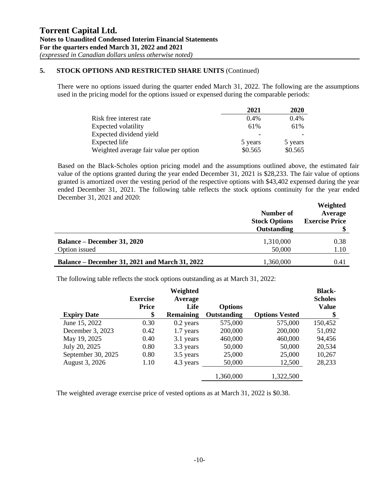## **5. STOCK OPTIONS AND RESTRICTED SHARE UNITS** (Continued)

There were no options issued during the quarter ended March 31, 2022. The following are the assumptions used in the pricing model for the options issued or expensed during the comparable periods:

|                                        | 2021    | 2020    |
|----------------------------------------|---------|---------|
| Risk free interest rate                | 0.4%    | 0.4%    |
| Expected volatility                    | 61%     | 61%     |
| Expected dividend yield                |         |         |
| Expected life                          | 5 years | 5 years |
| Weighted average fair value per option | \$0.565 | \$0.565 |

Based on the Black-Scholes option pricing model and the assumptions outlined above, the estimated fair value of the options granted during the year ended December 31, 2021 is \$28,233. The fair value of options granted is amortized over the vesting period of the respective options with \$43,402 expensed during the year ended December 31, 2021. The following table reflects the stock options continuity for the year ended December 31, 2021 and 2020:

|                                                                        | Number of<br><b>Stock Options</b><br>Outstanding | Weighted<br>Average<br><b>Exercise Price</b> |
|------------------------------------------------------------------------|--------------------------------------------------|----------------------------------------------|
| <b>Balance – December 31, 2020</b>                                     | 1,310,000                                        | 0.38                                         |
| Option issued<br><b>Balance – December 31, 2021 and March 31, 2022</b> | 50,000<br>1,360,000                              | 1.10<br>0.41                                 |

The following table reflects the stock options outstanding as at March 31, 2022:

|                    | <b>Exercise</b>    | Weighted<br>Average      |                               |                       | <b>Black-</b><br><b>Scholes</b> |
|--------------------|--------------------|--------------------------|-------------------------------|-----------------------|---------------------------------|
| <b>Expiry Date</b> | <b>Price</b><br>\$ | Life<br><b>Remaining</b> | <b>Options</b><br>Outstanding | <b>Options Vested</b> | Value<br>\$                     |
| June 15, 2022      | 0.30               | $0.2$ years              | 575,000                       | 575,000               | 150,452                         |
| December 3, 2023   | 0.42               | 1.7 years                | 200,000                       | 200,000               | 51,092                          |
| May 19, 2025       | 0.40               | 3.1 years                | 460,000                       | 460,000               | 94,456                          |
| July 20, 2025      | 0.80               | 3.3 years                | 50,000                        | 50,000                | 20,534                          |
| September 30, 2025 | 0.80               | 3.5 years                | 25,000                        | 25,000                | 10,267                          |
| August 3, 2026     | 1.10               | 4.3 years                | 50,000                        | 12,500                | 28,233                          |
|                    |                    |                          | 1,360,000                     | 1,322,500             |                                 |

The weighted average exercise price of vested options as at March 31, 2022 is \$0.38.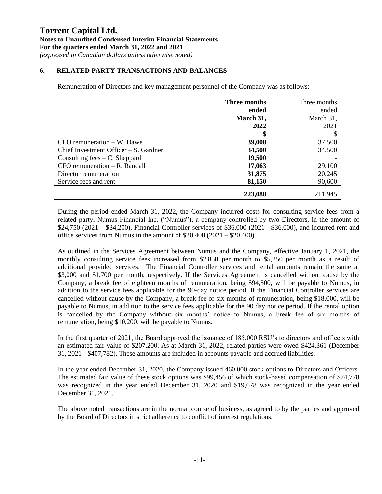#### **6. RELATED PARTY TRANSACTIONS AND BALANCES**

Remuneration of Directors and key management personnel of the Company was as follows:

|                                         | Three months | Three months |
|-----------------------------------------|--------------|--------------|
|                                         | ended        | ended        |
|                                         | March 31,    | March 31,    |
|                                         | 2022         | 2021         |
|                                         |              | \$           |
| $CEO$ remuneration $-$ W. Dawe          | 39,000       | 37,500       |
| Chief Investment Officer $-S$ . Gardner | 34,500       | 34,500       |
| Consulting fees $-C$ . Sheppard         | 19,500       |              |
| $CFO$ remuneration $-$ R. Randall       | 17,063       | 29,100       |
| Director remuneration                   | 31,875       | 20,245       |
| Service fees and rent                   | 81,150       | 90,600       |
|                                         | 223,088      | 211,945      |

During the period ended March 31, 2022, the Company incurred costs for consulting service fees from a related party, Numus Financial Inc. ("Numus"), a company controlled by two Directors, in the amount of \$24,750 (2021 – \$34,200), Financial Controller services of \$36,000 (2021 - \$36,000), and incurred rent and office services from Numus in the amount of \$20,400 (2021 – \$20,400).

As outlined in the Services Agreement between Numus and the Company, effective January 1, 2021, the monthly consulting service fees increased from \$2,850 per month to \$5,250 per month as a result of additional provided services. The Financial Controller services and rental amounts remain the same at \$3,000 and \$1,700 per month, respectively. If the Services Agreement is cancelled without cause by the Company, a break fee of eighteen months of remuneration, being \$94,500, will be payable to Numus, in addition to the service fees applicable for the 90-day notice period. If the Financial Controller services are cancelled without cause by the Company, a break fee of six months of remuneration, being \$18,000, will be payable to Numus, in addition to the service fees applicable for the 90 day notice period. If the rental option is cancelled by the Company without six months' notice to Numus, a break fee of six months of remuneration, being \$10,200, will be payable to Numus.

In the first quarter of 2021, the Board approved the issuance of 185,000 RSU's to directors and officers with an estimated fair value of \$207,200. As at March 31, 2022, related parties were owed \$424,361 (December 31, 2021 - \$407,782). These amounts are included in accounts payable and accrued liabilities.

In the year ended December 31, 2020, the Company issued 460,000 stock options to Directors and Officers. The estimated fair value of these stock options was \$99,456 of which stock-based compensation of \$74,778 was recognized in the year ended December 31, 2020 and \$19,678 was recognized in the year ended December 31, 2021.

The above noted transactions are in the normal course of business, as agreed to by the parties and approved by the Board of Directors in strict adherence to conflict of interest regulations.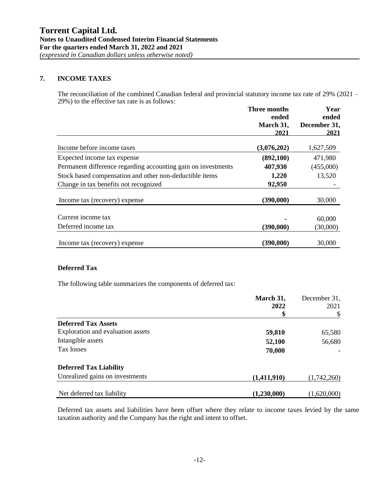#### **7. INCOME TAXES**

The reconciliation of the combined Canadian federal and provincial statutory income tax rate of 29% (2021 – 29%) to the effective tax rate is as follows:

|                                                               | <b>Three months</b><br>ended | Year<br>ended        |  |
|---------------------------------------------------------------|------------------------------|----------------------|--|
|                                                               | March 31,                    | December 31,<br>2021 |  |
|                                                               | 2021                         |                      |  |
| Income before income taxes                                    | (3,076,202)                  | 1,627,509            |  |
| Expected income tax expense                                   | (892, 100)                   | 471,980              |  |
| Permanent difference regarding accounting gain on investments | 407,930                      | (455,000)            |  |
| Stock based compensation and other non-deductible items       | 1,220                        | 13,520               |  |
| Change in tax benefits not recognized                         | 92,950                       |                      |  |
| Income tax (recovery) expense                                 | (390,000)                    | 30,000               |  |
| Current income tax                                            |                              | 60,000               |  |
| Deferred income tax                                           | (390,000)                    | (30,000)             |  |
| Income tax (recovery) expense                                 | (390,000)                    | 30,000               |  |

### **Deferred Tax**

The following table summarizes the components of deferred tax:

|                                   | March 31,   | December 31,<br>2021 |
|-----------------------------------|-------------|----------------------|
|                                   | 2022        |                      |
|                                   | \$          |                      |
| <b>Deferred Tax Assets</b>        |             |                      |
| Exploration and evaluation assets | 59,810      | 65,580               |
| Intangible assets                 | 52,100      | 56,680               |
| Tax losses                        | 70,000      |                      |
| <b>Deferred Tax Liability</b>     |             |                      |
| Unrealized gains on investments   | (1,411,910) | (1,742,260)          |
| Net deferred tax liability        | (1,230,000) | (1,620,000)          |

Deferred tax assets and liabilities have been offset where they relate to income taxes levied by the same taxation authority and the Company has the right and intent to offset.